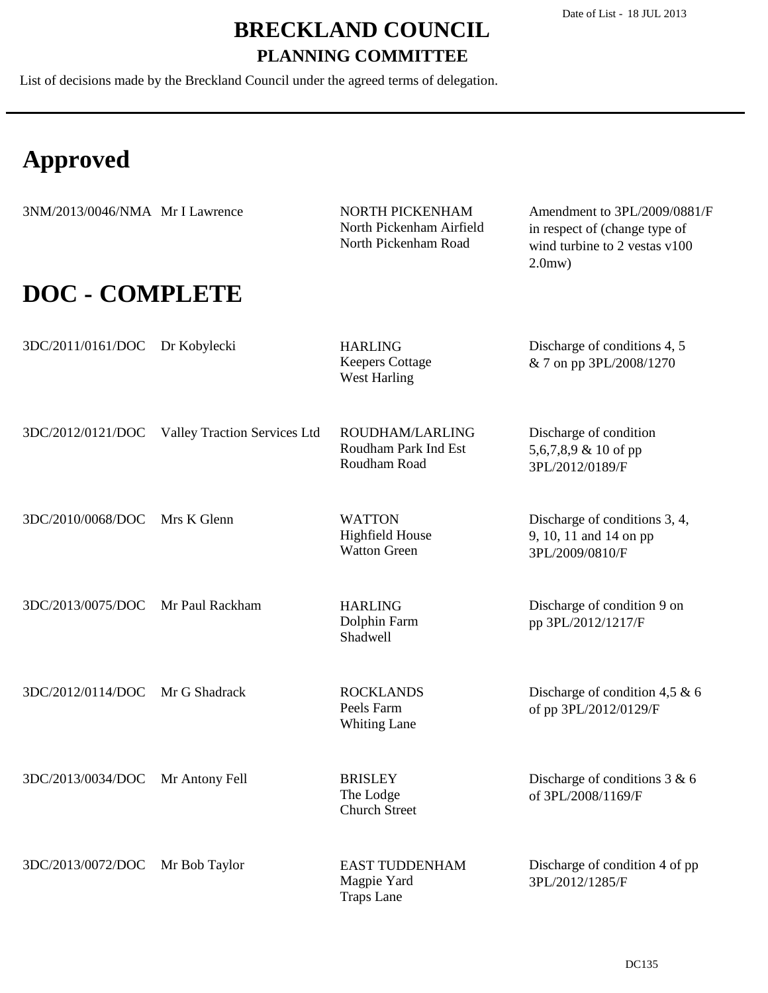List of decisions made by the Breckland Council under the agreed terms of delegation.

# **Approved**

| 3NM/2013/0046/NMA Mr I Lawrence |                              | NORTH PICKENHAM<br>North Pickenham Airfield<br>North Pickenham Road | Amendment to 3PL/2009/0881/F<br>in respect of (change type of<br>wind turbine to 2 vestas v100<br>2.0 <sub>mw</sub> |
|---------------------------------|------------------------------|---------------------------------------------------------------------|---------------------------------------------------------------------------------------------------------------------|
| <b>DOC - COMPLETE</b>           |                              |                                                                     |                                                                                                                     |
| 3DC/2011/0161/DOC               | Dr Kobylecki                 | <b>HARLING</b><br><b>Keepers Cottage</b><br><b>West Harling</b>     | Discharge of conditions 4, 5<br>& 7 on pp 3PL/2008/1270                                                             |
| 3DC/2012/0121/DOC               | Valley Traction Services Ltd | ROUDHAM/LARLING<br>Roudham Park Ind Est<br>Roudham Road             | Discharge of condition<br>5,6,7,8,9 & 10 of pp<br>3PL/2012/0189/F                                                   |
| 3DC/2010/0068/DOC               | Mrs K Glenn                  | <b>WATTON</b><br><b>Highfield House</b><br><b>Watton Green</b>      | Discharge of conditions 3, 4,<br>9, 10, 11 and 14 on pp<br>3PL/2009/0810/F                                          |
| 3DC/2013/0075/DOC               | Mr Paul Rackham              | <b>HARLING</b><br>Dolphin Farm<br><b>Shadwell</b>                   | Discharge of condition 9 on<br>pp 3PL/2012/1217/F                                                                   |
| 3DC/2012/0114/DOC               | Mr G Shadrack                | <b>ROCKLANDS</b><br>Peels Farm<br><b>Whiting Lane</b>               | Discharge of condition 4,5 $\&$ 6<br>of pp 3PL/2012/0129/F                                                          |
| 3DC/2013/0034/DOC               | Mr Antony Fell               | <b>BRISLEY</b><br>The Lodge<br><b>Church Street</b>                 | Discharge of conditions $3 & 6$<br>of 3PL/2008/1169/F                                                               |
| 3DC/2013/0072/DOC               | Mr Bob Taylor                | <b>EAST TUDDENHAM</b><br>Magpie Yard<br><b>Traps Lane</b>           | Discharge of condition 4 of pp<br>3PL/2012/1285/F                                                                   |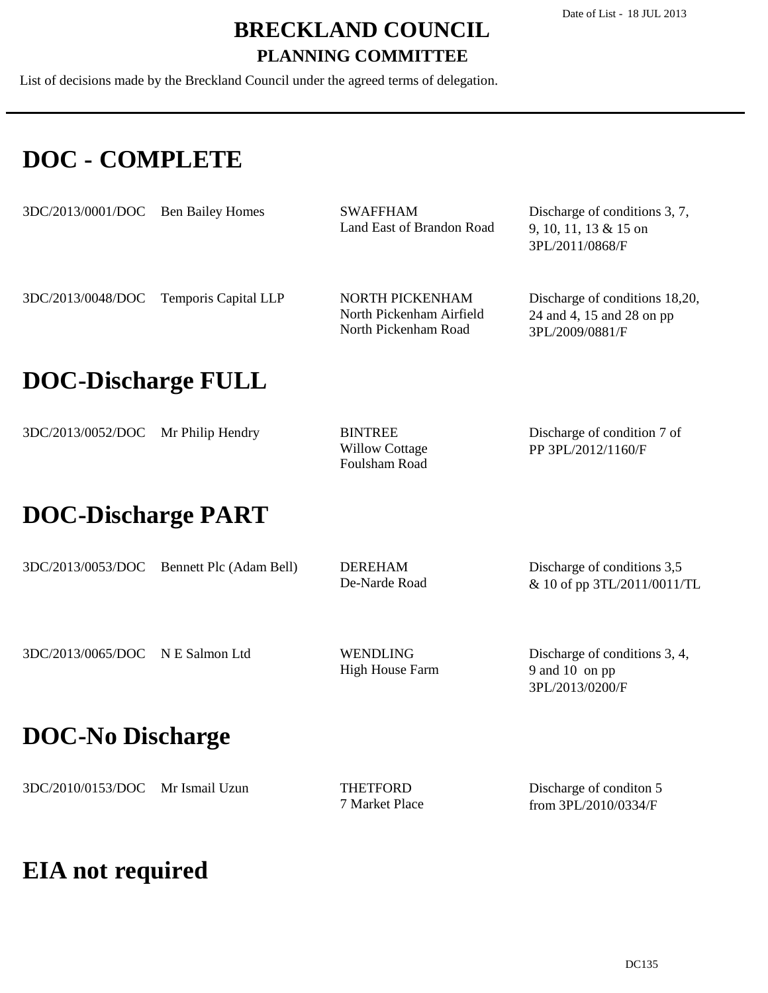List of decisions made by the Breckland Council under the agreed terms of delegation.

### **DOC - COMPLETE**

| 3DC/2013/0001/DOC         | <b>Ben Bailey Homes</b> | <b>SWAFFHAM</b><br>Land East of Brandon Road                        | Discharge of conditions 3, 7,<br>9, 10, 11, 13 & 15 on<br>3PL/2011/0868/F      |  |  |
|---------------------------|-------------------------|---------------------------------------------------------------------|--------------------------------------------------------------------------------|--|--|
| 3DC/2013/0048/DOC         | Temporis Capital LLP    | NORTH PICKENHAM<br>North Pickenham Airfield<br>North Pickenham Road | Discharge of conditions 18,20,<br>24 and 4, 15 and 28 on pp<br>3PL/2009/0881/F |  |  |
| <b>DOC-Discharge FULL</b> |                         |                                                                     |                                                                                |  |  |
| 3DC/2013/0052/DOC         | Mr Philip Hendry        | <b>BINTREE</b><br><b>Willow Cottage</b><br>Foulsham Road            | Discharge of condition 7 of<br>PP 3PL/2012/1160/F                              |  |  |
| <b>DOC-Discharge PART</b> |                         |                                                                     |                                                                                |  |  |
| 3DC/2013/0053/DOC         | Bennett Plc (Adam Bell) | <b>DEREHAM</b><br>De-Narde Road                                     | Discharge of conditions 3,5<br>& 10 of pp 3TL/2011/0011/TL                     |  |  |
| 3DC/2013/0065/DOC         | N E Salmon Ltd          | <b>WENDLING</b><br><b>High House Farm</b>                           | Discharge of conditions 3, 4,<br>9 and 10 on pp<br>3PL/2013/0200/F             |  |  |
| <b>DOC-No Discharge</b>   |                         |                                                                     |                                                                                |  |  |
| 3DC/2010/0153/DOC         | Mr Ismail Uzun          | <b>THETFORD</b><br>7 Market Place                                   | Discharge of conditon 5<br>from 3PL/2010/0334/F                                |  |  |

### **EIA not required**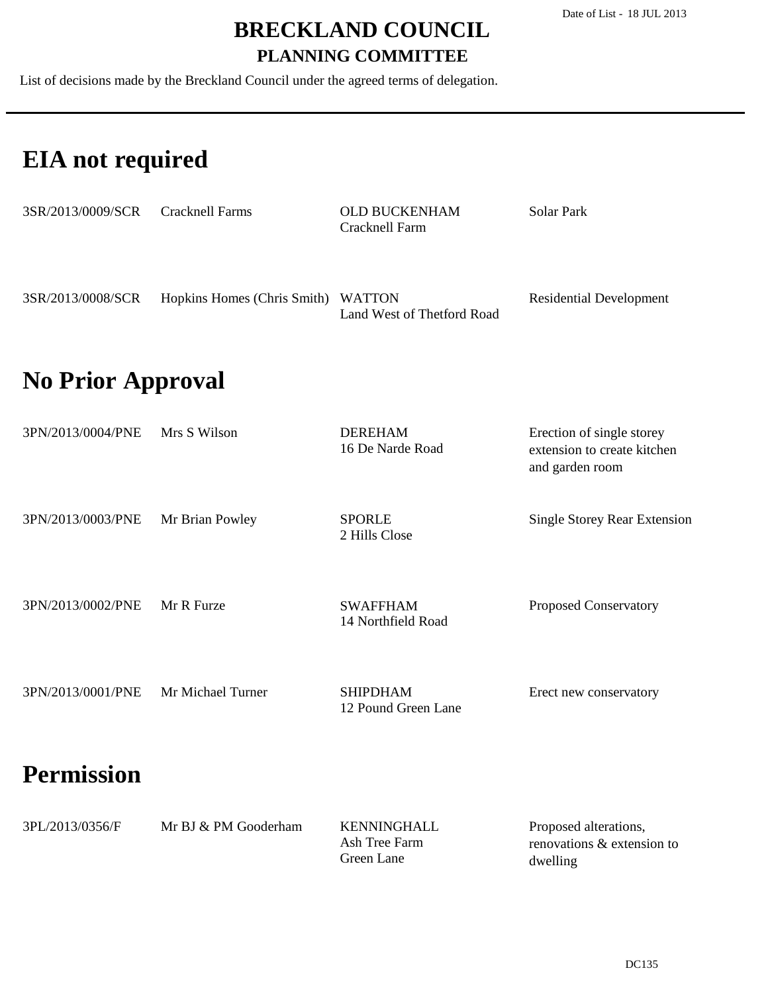List of decisions made by the Breckland Council under the agreed terms of delegation.

### **EIA not required**

| 3SR/2013/0009/SCR | <b>Cracknell Farms</b>             | <b>OLD BUCKENHAM</b><br>Cracknell Farm | Solar Park                     |
|-------------------|------------------------------------|----------------------------------------|--------------------------------|
| 3SR/2013/0008/SCR | Hopkins Homes (Chris Smith) WATTON | Land West of Thetford Road             | <b>Residential Development</b> |
|                   |                                    |                                        |                                |

### **No Prior Approval**

| 3PN/2013/0004/PNE | Mrs S Wilson      | <b>DEREHAM</b><br>16 De Narde Road     | Erection of single storey<br>extension to create kitchen<br>and garden room |
|-------------------|-------------------|----------------------------------------|-----------------------------------------------------------------------------|
| 3PN/2013/0003/PNE | Mr Brian Powley   | <b>SPORLE</b><br>2 Hills Close         | <b>Single Storey Rear Extension</b>                                         |
| 3PN/2013/0002/PNE | Mr R Furze        | <b>SWAFFHAM</b><br>14 Northfield Road  | Proposed Conservatory                                                       |
| 3PN/2013/0001/PNE | Mr Michael Turner | <b>SHIPDHAM</b><br>12 Pound Green Lane | Erect new conservatory                                                      |
| <b>Permission</b> |                   |                                        |                                                                             |

| 3PL/2013/0356/F | Mr BJ & PM Gooderham | KENNINGHALL   | Proposed alterations,      |
|-----------------|----------------------|---------------|----------------------------|
|                 |                      | Ash Tree Farm | renovations & extension to |
|                 |                      | Green Lane    | dwelling                   |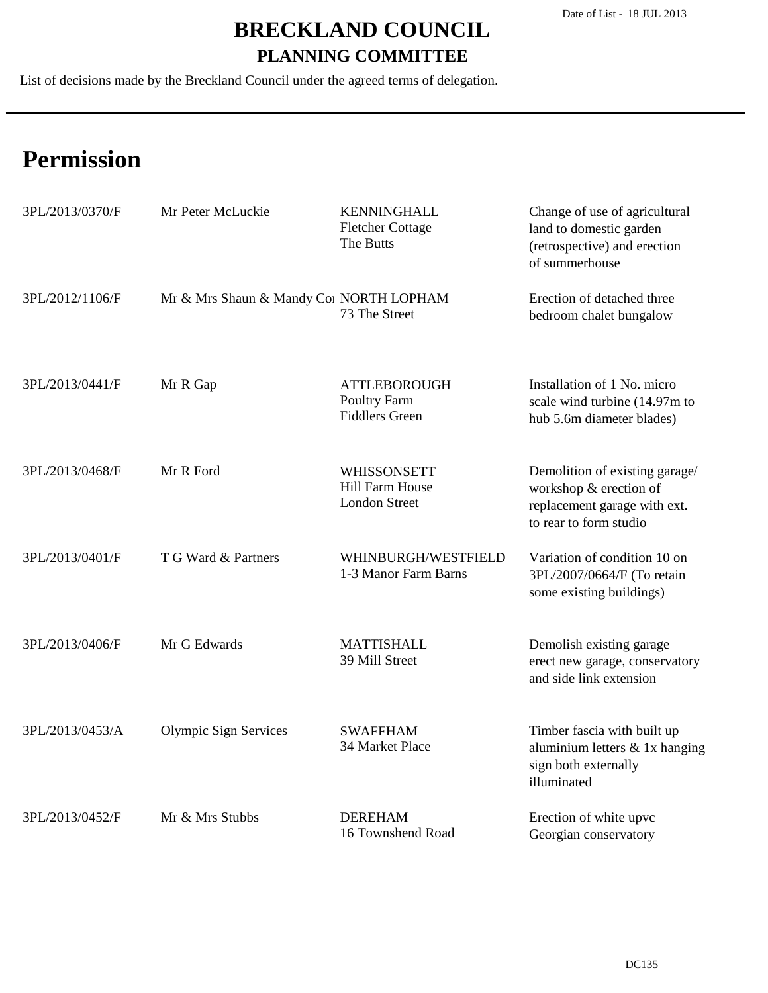List of decisions made by the Breckland Council under the agreed terms of delegation.

| 3PL/2013/0370/F | Mr Peter McLuckie                       | <b>KENNINGHALL</b><br><b>Fletcher Cottage</b><br>The Butts           | Change of use of agricultural<br>land to domestic garden<br>(retrospective) and erection<br>of summerhouse         |
|-----------------|-----------------------------------------|----------------------------------------------------------------------|--------------------------------------------------------------------------------------------------------------------|
| 3PL/2012/1106/F | Mr & Mrs Shaun & Mandy Coi NORTH LOPHAM | 73 The Street                                                        | Erection of detached three<br>bedroom chalet bungalow                                                              |
| 3PL/2013/0441/F | Mr R Gap                                | <b>ATTLEBOROUGH</b><br>Poultry Farm<br><b>Fiddlers Green</b>         | Installation of 1 No. micro<br>scale wind turbine (14.97m to<br>hub 5.6m diameter blades)                          |
| 3PL/2013/0468/F | Mr R Ford                               | <b>WHISSONSETT</b><br><b>Hill Farm House</b><br><b>London Street</b> | Demolition of existing garage/<br>workshop & erection of<br>replacement garage with ext.<br>to rear to form studio |
| 3PL/2013/0401/F | T G Ward & Partners                     | WHINBURGH/WESTFIELD<br>1-3 Manor Farm Barns                          | Variation of condition 10 on<br>3PL/2007/0664/F (To retain<br>some existing buildings)                             |
| 3PL/2013/0406/F | Mr G Edwards                            | <b>MATTISHALL</b><br>39 Mill Street                                  | Demolish existing garage<br>erect new garage, conservatory<br>and side link extension                              |
| 3PL/2013/0453/A | Olympic Sign Services                   | <b>SWAFFHAM</b><br>34 Market Place                                   | Timber fascia with built up<br>aluminium letters & 1x hanging<br>sign both externally<br>illuminated               |
| 3PL/2013/0452/F | Mr & Mrs Stubbs                         | <b>DEREHAM</b><br>16 Townshend Road                                  | Erection of white upvc<br>Georgian conservatory                                                                    |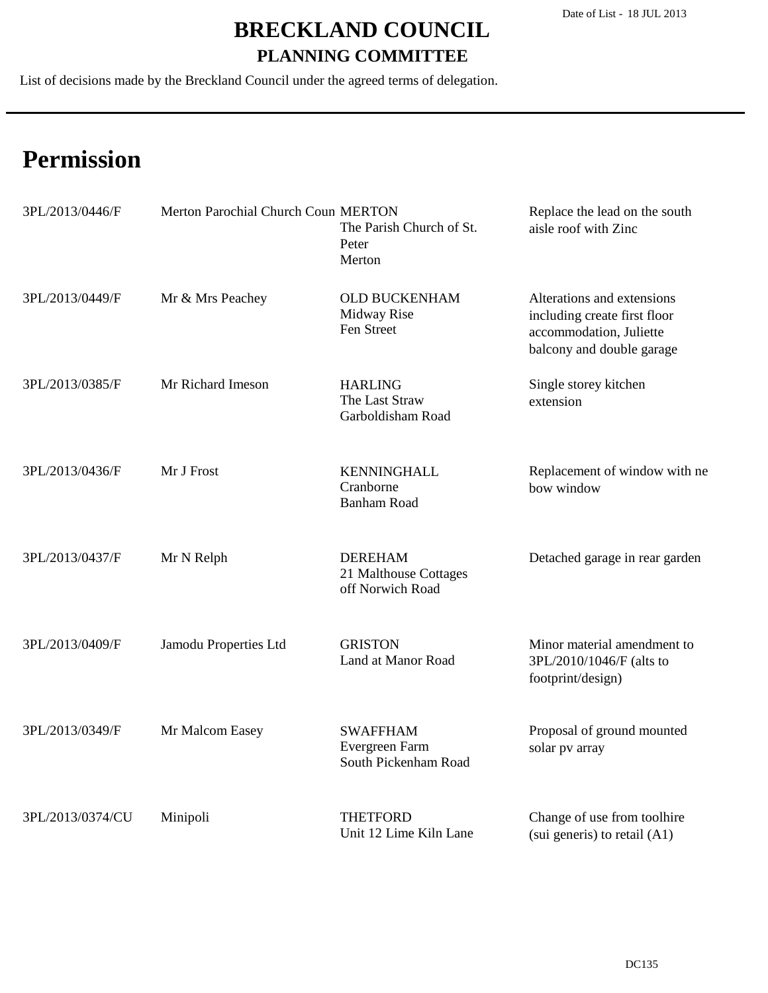List of decisions made by the Breckland Council under the agreed terms of delegation.

| 3PL/2013/0446/F  | Merton Parochial Church Coun MERTON | The Parish Church of St.<br>Peter<br>Merton                 | Replace the lead on the south<br>aisle roof with Zinc                                                              |
|------------------|-------------------------------------|-------------------------------------------------------------|--------------------------------------------------------------------------------------------------------------------|
| 3PL/2013/0449/F  | Mr & Mrs Peachey                    | <b>OLD BUCKENHAM</b><br>Midway Rise<br>Fen Street           | Alterations and extensions<br>including create first floor<br>accommodation, Juliette<br>balcony and double garage |
| 3PL/2013/0385/F  | Mr Richard Imeson                   | <b>HARLING</b><br>The Last Straw<br>Garboldisham Road       | Single storey kitchen<br>extension                                                                                 |
| 3PL/2013/0436/F  | Mr J Frost                          | <b>KENNINGHALL</b><br>Cranborne<br><b>Banham Road</b>       | Replacement of window with ne<br>bow window                                                                        |
| 3PL/2013/0437/F  | Mr N Relph                          | <b>DEREHAM</b><br>21 Malthouse Cottages<br>off Norwich Road | Detached garage in rear garden                                                                                     |
| 3PL/2013/0409/F  | Jamodu Properties Ltd               | <b>GRISTON</b><br>Land at Manor Road                        | Minor material amendment to<br>3PL/2010/1046/F (alts to<br>footprint/design)                                       |
| 3PL/2013/0349/F  | Mr Malcom Easey                     | <b>SWAFFHAM</b><br>Evergreen Farm<br>South Pickenham Road   | Proposal of ground mounted<br>solar pv array                                                                       |
| 3PL/2013/0374/CU | Minipoli                            | <b>THETFORD</b><br>Unit 12 Lime Kiln Lane                   | Change of use from toolhire<br>(sui generis) to retail (A1)                                                        |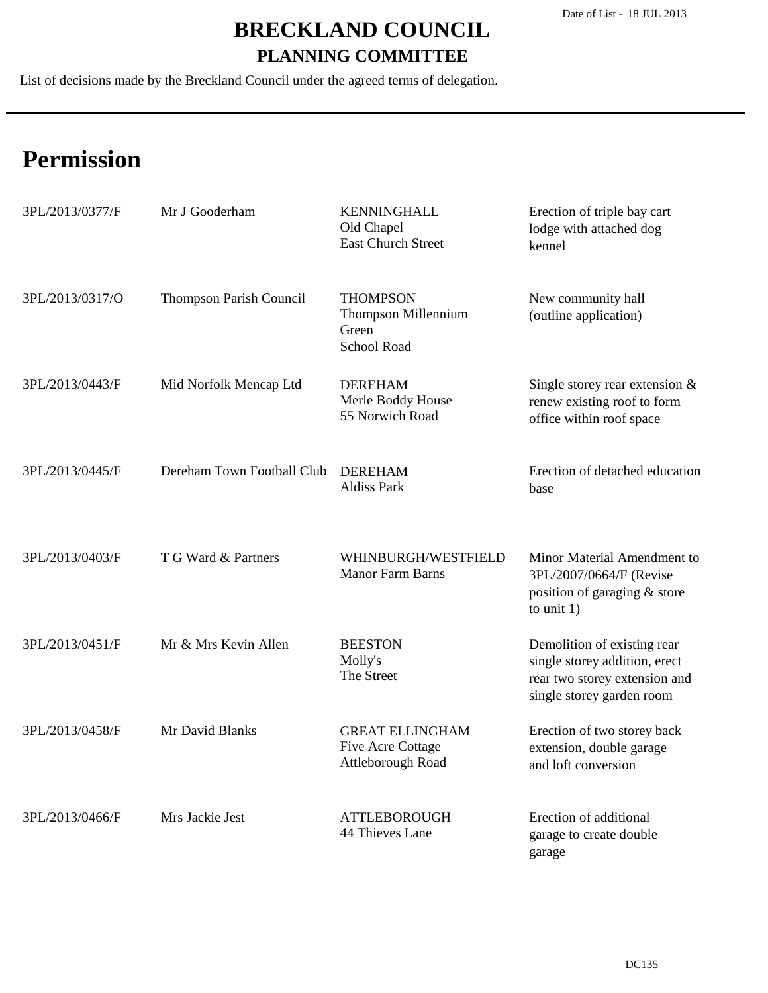List of decisions made by the Breckland Council under the agreed terms of delegation.

| 3PL/2013/0377/F | Mr J Gooderham             | <b>KENNINGHALL</b><br>Old Chapel<br><b>East Church Street</b>           | Erection of triple bay cart<br>lodge with attached dog<br>kennel                                                           |
|-----------------|----------------------------|-------------------------------------------------------------------------|----------------------------------------------------------------------------------------------------------------------------|
| 3PL/2013/0317/O | Thompson Parish Council    | <b>THOMPSON</b><br>Thompson Millennium<br>Green<br>School Road          | New community hall<br>(outline application)                                                                                |
| 3PL/2013/0443/F | Mid Norfolk Mencap Ltd     | <b>DEREHAM</b><br>Merle Boddy House<br>55 Norwich Road                  | Single storey rear extension $&$<br>renew existing roof to form<br>office within roof space                                |
| 3PL/2013/0445/F | Dereham Town Football Club | <b>DEREHAM</b><br><b>Aldiss Park</b>                                    | Erection of detached education<br>base                                                                                     |
| 3PL/2013/0403/F | T G Ward & Partners        | WHINBURGH/WESTFIELD<br>Manor Farm Barns                                 | Minor Material Amendment to<br>3PL/2007/0664/F (Revise<br>position of garaging & store<br>to unit $1$ )                    |
| 3PL/2013/0451/F | Mr & Mrs Kevin Allen       | <b>BEESTON</b><br>Molly's<br>The Street                                 | Demolition of existing rear<br>single storey addition, erect<br>rear two storey extension and<br>single storey garden room |
| 3PL/2013/0458/F | Mr David Blanks            | <b>GREAT ELLINGHAM</b><br><b>Five Acre Cottage</b><br>Attleborough Road | Erection of two storey back<br>extension, double garage<br>and loft conversion                                             |
| 3PL/2013/0466/F | Mrs Jackie Jest            | <b>ATTLEBOROUGH</b><br>44 Thieves Lane                                  | Erection of additional<br>garage to create double<br>garage                                                                |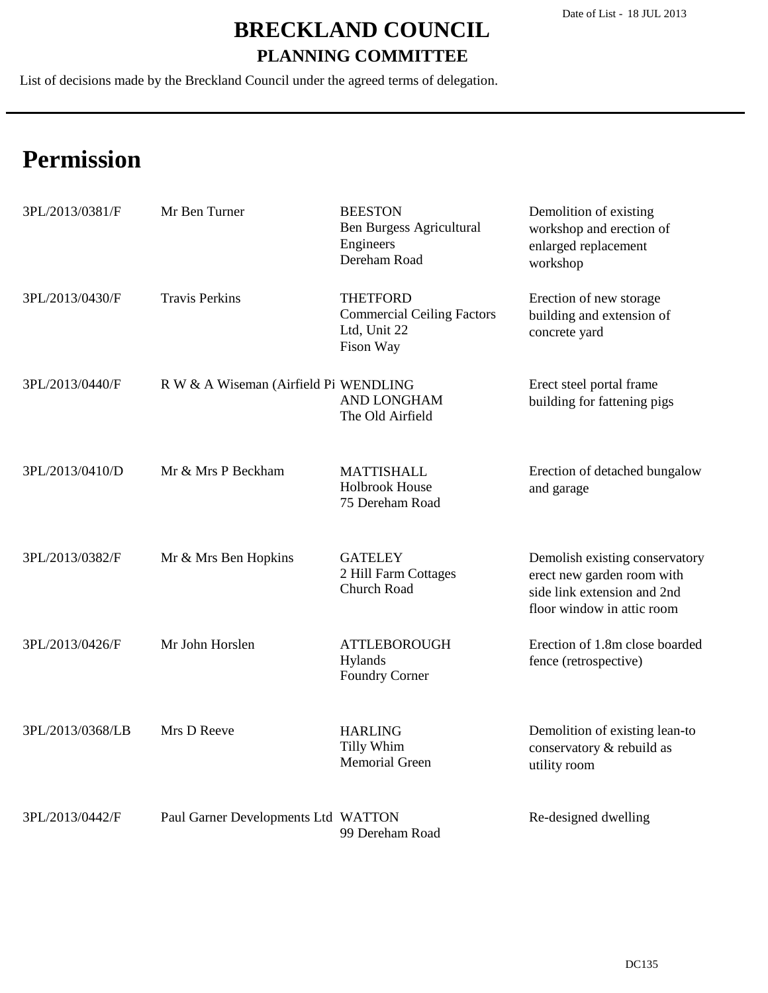List of decisions made by the Breckland Council under the agreed terms of delegation.

| 3PL/2013/0381/F  | Mr Ben Turner                         | <b>BEESTON</b><br><b>Ben Burgess Agricultural</b><br>Engineers<br>Dereham Road    | Demolition of existing<br>workshop and erection of<br>enlarged replacement<br>workshop                                    |
|------------------|---------------------------------------|-----------------------------------------------------------------------------------|---------------------------------------------------------------------------------------------------------------------------|
| 3PL/2013/0430/F  | <b>Travis Perkins</b>                 | <b>THETFORD</b><br><b>Commercial Ceiling Factors</b><br>Ltd, Unit 22<br>Fison Way | Erection of new storage<br>building and extension of<br>concrete yard                                                     |
| 3PL/2013/0440/F  | R W & A Wiseman (Airfield Pi WENDLING | <b>AND LONGHAM</b><br>The Old Airfield                                            | Erect steel portal frame<br>building for fattening pigs                                                                   |
| 3PL/2013/0410/D  | Mr & Mrs P Beckham                    | <b>MATTISHALL</b><br><b>Holbrook House</b><br>75 Dereham Road                     | Erection of detached bungalow<br>and garage                                                                               |
| 3PL/2013/0382/F  | Mr & Mrs Ben Hopkins                  | <b>GATELEY</b><br>2 Hill Farm Cottages<br><b>Church Road</b>                      | Demolish existing conservatory<br>erect new garden room with<br>side link extension and 2nd<br>floor window in attic room |
| 3PL/2013/0426/F  | Mr John Horslen                       | <b>ATTLEBOROUGH</b><br>Hylands<br><b>Foundry Corner</b>                           | Erection of 1.8m close boarded<br>fence (retrospective)                                                                   |
| 3PL/2013/0368/LB | Mrs D Reeve                           | <b>HARLING</b><br>Tilly Whim<br><b>Memorial Green</b>                             | Demolition of existing lean-to<br>conservatory & rebuild as<br>utility room                                               |
| 3PL/2013/0442/F  | Paul Garner Developments Ltd WATTON   | 99 Dereham Road                                                                   | Re-designed dwelling                                                                                                      |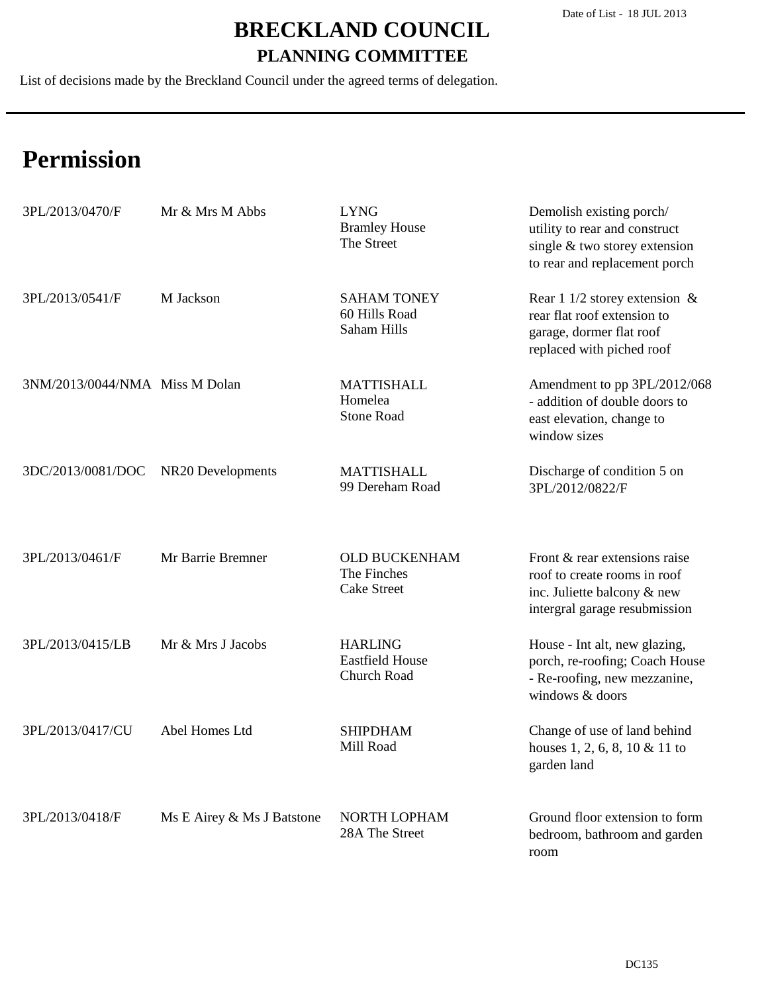List of decisions made by the Breckland Council under the agreed terms of delegation.

| 3PL/2013/0470/F                | Mr & Mrs M Abbs            | <b>LYNG</b><br><b>Bramley House</b><br>The Street         | Demolish existing porch/<br>utility to rear and construct<br>single & two storey extension<br>to rear and replacement porch   |
|--------------------------------|----------------------------|-----------------------------------------------------------|-------------------------------------------------------------------------------------------------------------------------------|
| 3PL/2013/0541/F                | M Jackson                  | <b>SAHAM TONEY</b><br>60 Hills Road<br>Saham Hills        | Rear 1 1/2 storey extension $\&$<br>rear flat roof extension to<br>garage, dormer flat roof<br>replaced with piched roof      |
| 3NM/2013/0044/NMA Miss M Dolan |                            | <b>MATTISHALL</b><br>Homelea<br><b>Stone Road</b>         | Amendment to pp 3PL/2012/068<br>- addition of double doors to<br>east elevation, change to<br>window sizes                    |
| 3DC/2013/0081/DOC              | NR20 Developments          | <b>MATTISHALL</b><br>99 Dereham Road                      | Discharge of condition 5 on<br>3PL/2012/0822/F                                                                                |
| 3PL/2013/0461/F                | Mr Barrie Bremner          | <b>OLD BUCKENHAM</b><br>The Finches<br><b>Cake Street</b> | Front & rear extensions raise<br>roof to create rooms in roof<br>inc. Juliette balcony & new<br>intergral garage resubmission |
| 3PL/2013/0415/LB               | Mr & Mrs J Jacobs          | <b>HARLING</b><br><b>Eastfield House</b><br>Church Road   | House - Int alt, new glazing,<br>porch, re-roofing; Coach House<br>- Re-roofing, new mezzanine,<br>windows & doors            |
| 3PL/2013/0417/CU               | Abel Homes Ltd             | <b>SHIPDHAM</b><br>Mill Road                              | Change of use of land behind<br>houses 1, 2, 6, 8, 10 & 11 to<br>garden land                                                  |
| 3PL/2013/0418/F                | Ms E Airey & Ms J Batstone | NORTH LOPHAM<br>28A The Street                            | Ground floor extension to form<br>bedroom, bathroom and garden<br>room                                                        |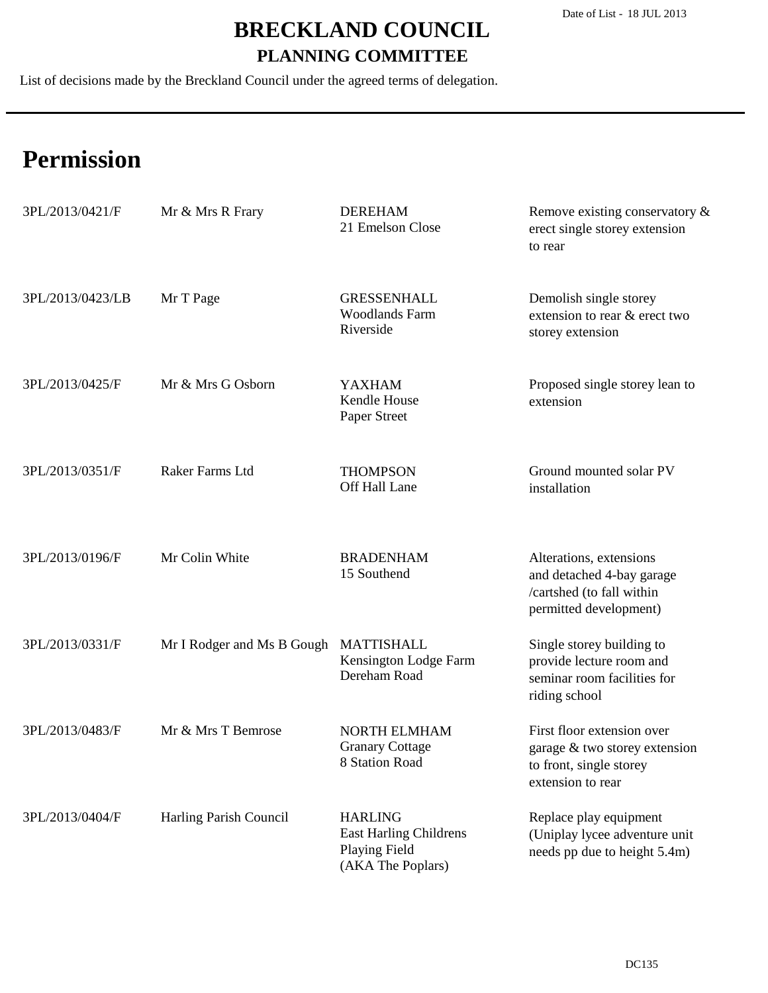List of decisions made by the Breckland Council under the agreed terms of delegation.

| 3PL/2013/0421/F  | Mr & Mrs R Frary           | <b>DEREHAM</b><br>21 Emelson Close                                                    | Remove existing conservatory &<br>erect single storey extension<br>to rear                                  |
|------------------|----------------------------|---------------------------------------------------------------------------------------|-------------------------------------------------------------------------------------------------------------|
| 3PL/2013/0423/LB | Mr T Page                  | <b>GRESSENHALL</b><br><b>Woodlands Farm</b><br>Riverside                              | Demolish single storey<br>extension to rear & erect two<br>storey extension                                 |
| 3PL/2013/0425/F  | Mr & Mrs G Osborn          | <b>YAXHAM</b><br>Kendle House<br>Paper Street                                         | Proposed single storey lean to<br>extension                                                                 |
| 3PL/2013/0351/F  | Raker Farms Ltd            | <b>THOMPSON</b><br>Off Hall Lane                                                      | Ground mounted solar PV<br>installation                                                                     |
| 3PL/2013/0196/F  | Mr Colin White             | <b>BRADENHAM</b><br>15 Southend                                                       | Alterations, extensions<br>and detached 4-bay garage<br>/cartshed (to fall within<br>permitted development) |
| 3PL/2013/0331/F  | Mr I Rodger and Ms B Gough | <b>MATTISHALL</b><br>Kensington Lodge Farm<br>Dereham Road                            | Single storey building to<br>provide lecture room and<br>seminar room facilities for<br>riding school       |
| 3PL/2013/0483/F  | Mr & Mrs T Bemrose         | <b>NORTH ELMHAM</b><br><b>Granary Cottage</b><br>8 Station Road                       | First floor extension over<br>garage & two storey extension<br>to front, single storey<br>extension to rear |
| 3PL/2013/0404/F  | Harling Parish Council     | <b>HARLING</b><br>East Harling Childrens<br><b>Playing Field</b><br>(AKA The Poplars) | Replace play equipment<br>(Uniplay lycee adventure unit<br>needs pp due to height 5.4m)                     |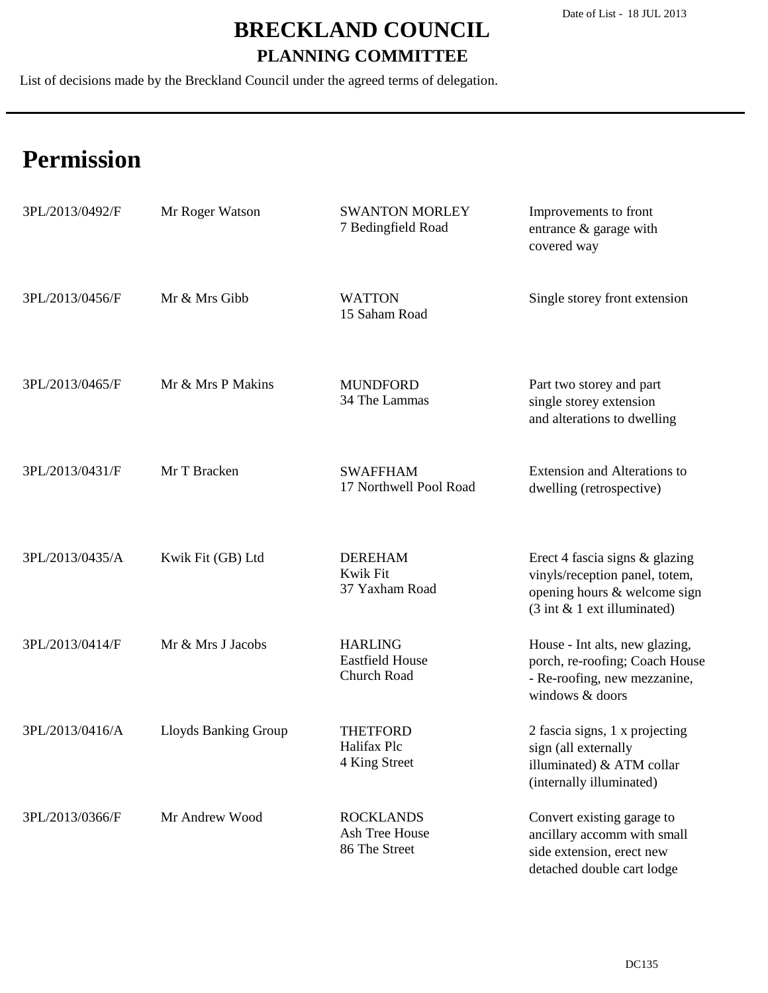List of decisions made by the Breckland Council under the agreed terms of delegation.

| 3PL/2013/0492/F | Mr Roger Watson             | <b>SWANTON MORLEY</b><br>7 Bedingfield Road             | Improvements to front<br>entrance & garage with<br>covered way                                                                                      |
|-----------------|-----------------------------|---------------------------------------------------------|-----------------------------------------------------------------------------------------------------------------------------------------------------|
| 3PL/2013/0456/F | Mr & Mrs Gibb               | <b>WATTON</b><br>15 Saham Road                          | Single storey front extension                                                                                                                       |
| 3PL/2013/0465/F | Mr & Mrs P Makins           | <b>MUNDFORD</b><br>34 The Lammas                        | Part two storey and part<br>single storey extension<br>and alterations to dwelling                                                                  |
| 3PL/2013/0431/F | Mr T Bracken                | <b>SWAFFHAM</b><br>17 Northwell Pool Road               | <b>Extension and Alterations to</b><br>dwelling (retrospective)                                                                                     |
| 3PL/2013/0435/A | Kwik Fit (GB) Ltd           | <b>DEREHAM</b><br>Kwik Fit<br>37 Yaxham Road            | Erect 4 fascia signs & glazing<br>vinyls/reception panel, totem,<br>opening hours & welcome sign<br>$(3 \text{ int } \& 1 \text{ ext illuminated})$ |
| 3PL/2013/0414/F | Mr & Mrs J Jacobs           | <b>HARLING</b><br><b>Eastfield House</b><br>Church Road | House - Int alts, new glazing,<br>porch, re-roofing; Coach House<br>- Re-roofing, new mezzanine,<br>windows & doors                                 |
| 3PL/2013/0416/A | <b>Lloyds Banking Group</b> | THETFORD<br>Halifax Plc<br>4 King Street                | 2 fascia signs, 1 x projecting<br>sign (all externally<br>illuminated) & ATM collar<br>(internally illuminated)                                     |
| 3PL/2013/0366/F | Mr Andrew Wood              | <b>ROCKLANDS</b><br>Ash Tree House<br>86 The Street     | Convert existing garage to<br>ancillary accomm with small<br>side extension, erect new<br>detached double cart lodge                                |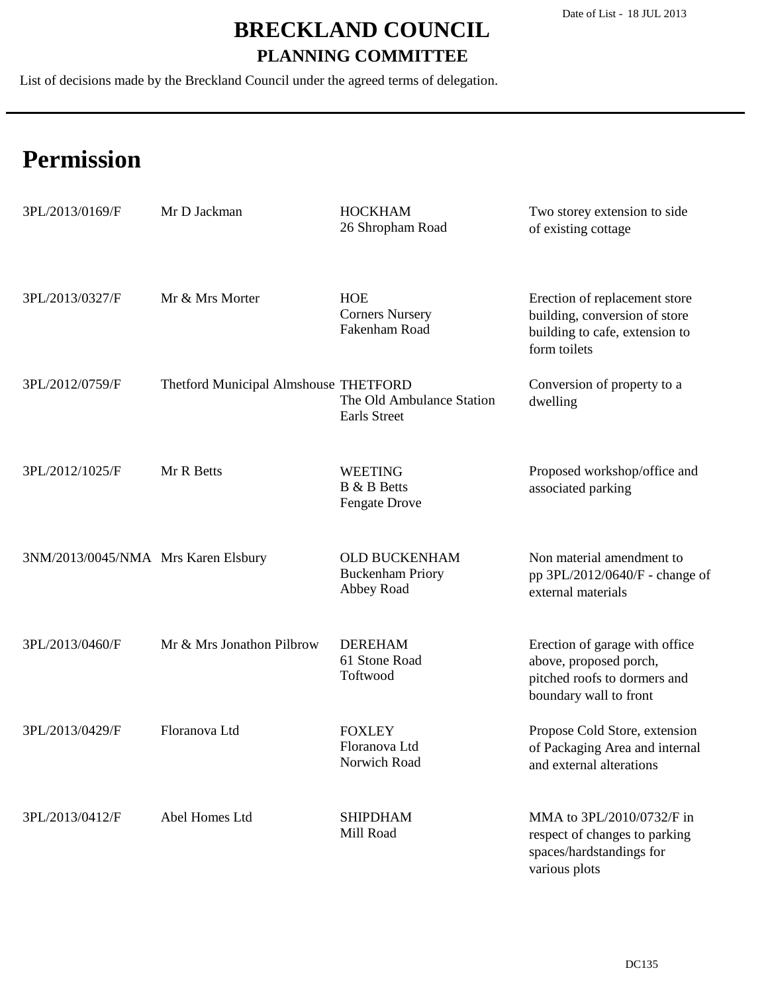List of decisions made by the Breckland Council under the agreed terms of delegation.

| 3PL/2013/0169/F                     | Mr D Jackman                          | <b>HOCKHAM</b><br>26 Shropham Road                           | Two storey extension to side<br>of existing cottage                                                                |
|-------------------------------------|---------------------------------------|--------------------------------------------------------------|--------------------------------------------------------------------------------------------------------------------|
| 3PL/2013/0327/F                     | Mr & Mrs Morter                       | <b>HOE</b><br><b>Corners Nursery</b><br>Fakenham Road        | Erection of replacement store<br>building, conversion of store<br>building to cafe, extension to<br>form toilets   |
| 3PL/2012/0759/F                     | Thetford Municipal Almshouse THETFORD | The Old Ambulance Station<br>Earls Street                    | Conversion of property to a<br>dwelling                                                                            |
| 3PL/2012/1025/F                     | Mr R Betts                            | <b>WEETING</b><br><b>B</b> & <b>B</b> Betts<br>Fengate Drove | Proposed workshop/office and<br>associated parking                                                                 |
| 3NM/2013/0045/NMA Mrs Karen Elsbury |                                       | OLD BUCKENHAM<br><b>Buckenham Priory</b><br>Abbey Road       | Non material amendment to<br>pp 3PL/2012/0640/F - change of<br>external materials                                  |
| 3PL/2013/0460/F                     | Mr & Mrs Jonathon Pilbrow             | <b>DEREHAM</b><br>61 Stone Road<br>Toftwood                  | Erection of garage with office<br>above, proposed porch,<br>pitched roofs to dormers and<br>boundary wall to front |
| 3PL/2013/0429/F                     | Floranova Ltd                         | <b>FOXLEY</b><br>Floranova Ltd<br>Norwich Road               | Propose Cold Store, extension<br>of Packaging Area and internal<br>and external alterations                        |
| 3PL/2013/0412/F                     | Abel Homes Ltd                        | <b>SHIPDHAM</b><br>Mill Road                                 | MMA to 3PL/2010/0732/F in<br>respect of changes to parking<br>spaces/hardstandings for<br>various plots            |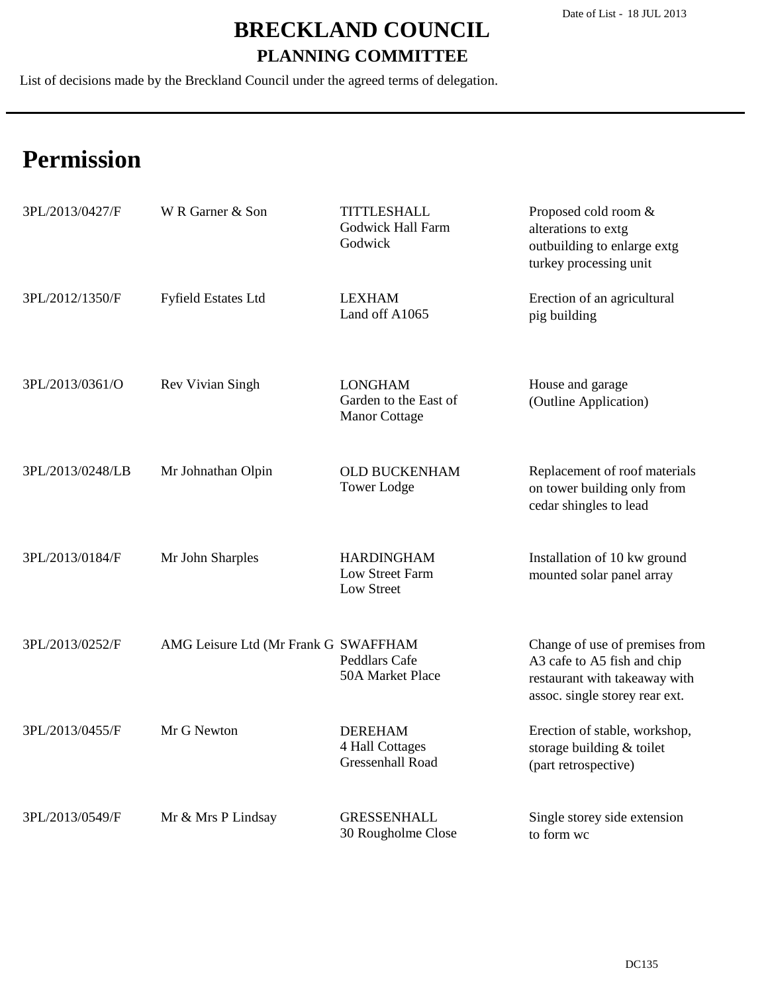List of decisions made by the Breckland Council under the agreed terms of delegation.

| 3PL/2013/0427/F  | W R Garner & Son                     | <b>TITTLESHALL</b><br><b>Godwick Hall Farm</b><br>Godwick | Proposed cold room &<br>alterations to extg<br>outbuilding to enlarge extg<br>turkey processing unit                             |
|------------------|--------------------------------------|-----------------------------------------------------------|----------------------------------------------------------------------------------------------------------------------------------|
| 3PL/2012/1350/F  | <b>Fyfield Estates Ltd</b>           | <b>LEXHAM</b><br>Land off A1065                           | Erection of an agricultural<br>pig building                                                                                      |
| 3PL/2013/0361/O  | Rev Vivian Singh                     | <b>LONGHAM</b><br>Garden to the East of<br>Manor Cottage  | House and garage<br>(Outline Application)                                                                                        |
| 3PL/2013/0248/LB | Mr Johnathan Olpin                   | <b>OLD BUCKENHAM</b><br><b>Tower Lodge</b>                | Replacement of roof materials<br>on tower building only from<br>cedar shingles to lead                                           |
| 3PL/2013/0184/F  | Mr John Sharples                     | <b>HARDINGHAM</b><br>Low Street Farm<br>Low Street        | Installation of 10 kw ground<br>mounted solar panel array                                                                        |
| 3PL/2013/0252/F  | AMG Leisure Ltd (Mr Frank G SWAFFHAM | Peddlars Cafe<br>50A Market Place                         | Change of use of premises from<br>A3 cafe to A5 fish and chip<br>restaurant with takeaway with<br>assoc. single storey rear ext. |
| 3PL/2013/0455/F  | Mr G Newton                          | <b>DEREHAM</b><br>4 Hall Cottages<br>Gressenhall Road     | Erection of stable, workshop,<br>storage building & toilet<br>(part retrospective)                                               |
| 3PL/2013/0549/F  | Mr & Mrs P Lindsay                   | <b>GRESSENHALL</b><br>30 Rougholme Close                  | Single storey side extension<br>to form wc                                                                                       |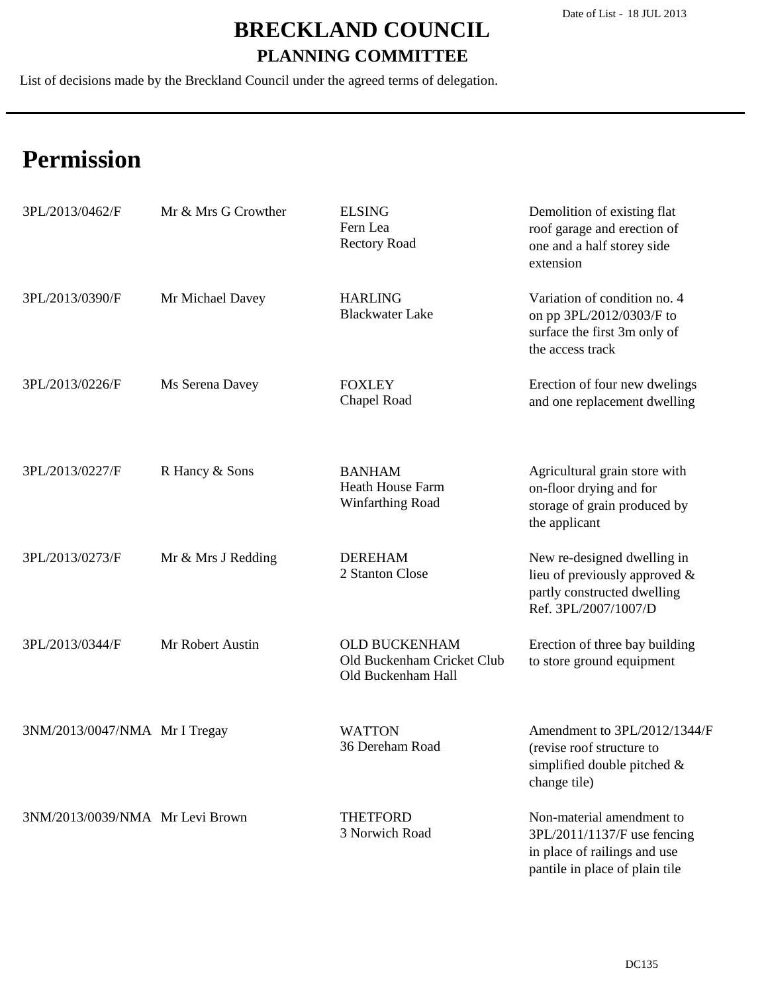List of decisions made by the Breckland Council under the agreed terms of delegation.

| 3PL/2013/0462/F                 | Mr & Mrs G Crowther | <b>ELSING</b><br>Fern Lea<br><b>Rectory Road</b>                         | Demolition of existing flat<br>roof garage and erection of<br>one and a half storey side<br>extension                      |
|---------------------------------|---------------------|--------------------------------------------------------------------------|----------------------------------------------------------------------------------------------------------------------------|
| 3PL/2013/0390/F                 | Mr Michael Davey    | <b>HARLING</b><br><b>Blackwater Lake</b>                                 | Variation of condition no. 4<br>on pp 3PL/2012/0303/F to<br>surface the first 3m only of<br>the access track               |
| 3PL/2013/0226/F                 | Ms Serena Davey     | <b>FOXLEY</b><br>Chapel Road                                             | Erection of four new dwelings<br>and one replacement dwelling                                                              |
| 3PL/2013/0227/F                 | R Hancy & Sons      | <b>BANHAM</b><br><b>Heath House Farm</b><br>Winfarthing Road             | Agricultural grain store with<br>on-floor drying and for<br>storage of grain produced by<br>the applicant                  |
| 3PL/2013/0273/F                 | Mr & Mrs J Redding  | <b>DEREHAM</b><br>2 Stanton Close                                        | New re-designed dwelling in<br>lieu of previously approved $\&$<br>partly constructed dwelling<br>Ref. 3PL/2007/1007/D     |
| 3PL/2013/0344/F                 | Mr Robert Austin    | <b>OLD BUCKENHAM</b><br>Old Buckenham Cricket Club<br>Old Buckenham Hall | Erection of three bay building<br>to store ground equipment                                                                |
| 3NM/2013/0047/NMA Mr I Tregay   |                     | <b>WATTON</b><br>36 Dereham Road                                         | Amendment to 3PL/2012/1344/F<br>(revise roof structure to<br>simplified double pitched $\&$<br>change tile)                |
| 3NM/2013/0039/NMA Mr Levi Brown |                     | <b>THETFORD</b><br>3 Norwich Road                                        | Non-material amendment to<br>3PL/2011/1137/F use fencing<br>in place of railings and use<br>pantile in place of plain tile |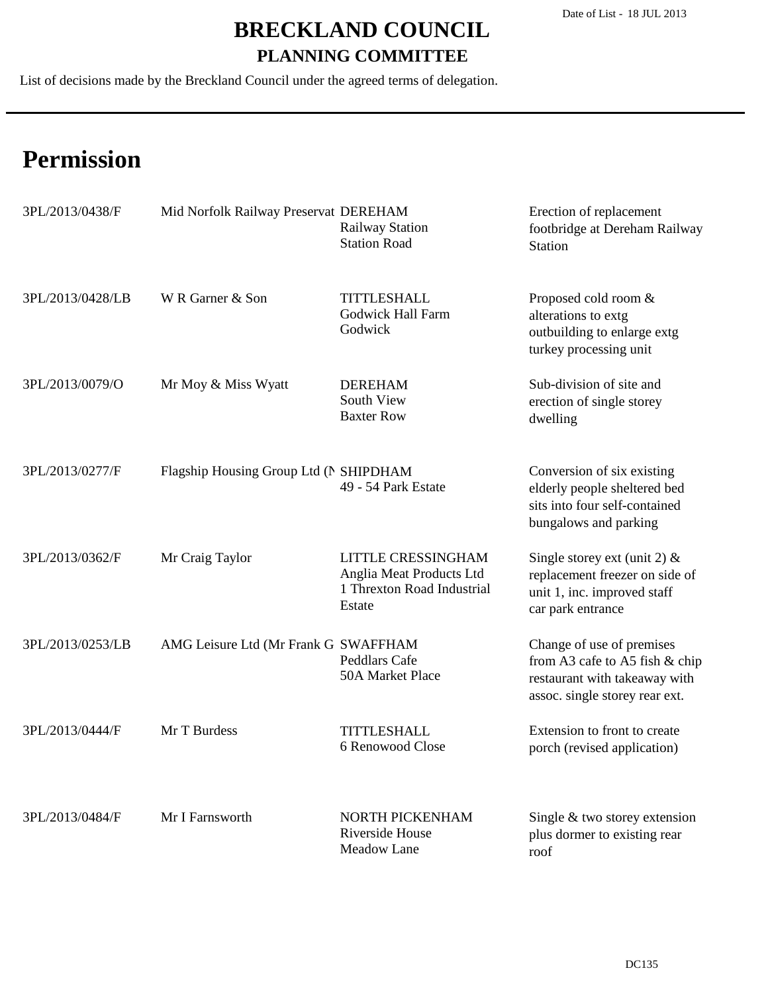List of decisions made by the Breckland Council under the agreed terms of delegation.

| 3PL/2013/0438/F  | Mid Norfolk Railway Preservat DEREHAM  | <b>Railway Station</b><br><b>Station Road</b>                                                 | Erection of replacement<br>footbridge at Dereham Railway<br><b>Station</b>                                                     |
|------------------|----------------------------------------|-----------------------------------------------------------------------------------------------|--------------------------------------------------------------------------------------------------------------------------------|
| 3PL/2013/0428/LB | W R Garner & Son                       | <b>TITTLESHALL</b><br><b>Godwick Hall Farm</b><br>Godwick                                     | Proposed cold room &<br>alterations to extg<br>outbuilding to enlarge extg<br>turkey processing unit                           |
| 3PL/2013/0079/O  | Mr Moy & Miss Wyatt                    | <b>DEREHAM</b><br>South View<br><b>Baxter Row</b>                                             | Sub-division of site and<br>erection of single storey<br>dwelling                                                              |
| 3PL/2013/0277/F  | Flagship Housing Group Ltd (N SHIPDHAM | 49 - 54 Park Estate                                                                           | Conversion of six existing<br>elderly people sheltered bed<br>sits into four self-contained<br>bungalows and parking           |
| 3PL/2013/0362/F  | Mr Craig Taylor                        | <b>LITTLE CRESSINGHAM</b><br>Anglia Meat Products Ltd<br>1 Threxton Road Industrial<br>Estate | Single storey ext (unit 2) $&$<br>replacement freezer on side of<br>unit 1, inc. improved staff<br>car park entrance           |
| 3PL/2013/0253/LB | AMG Leisure Ltd (Mr Frank G SWAFFHAM   | Peddlars Cafe<br>50A Market Place                                                             | Change of use of premises<br>from A3 cafe to A5 fish & chip<br>restaurant with takeaway with<br>assoc. single storey rear ext. |
| 3PL/2013/0444/F  | Mr T Burdess                           | <b>TITTLESHALL</b><br>6 Renowood Close                                                        | Extension to front to create<br>porch (revised application)                                                                    |
| 3PL/2013/0484/F  | Mr I Farnsworth                        | NORTH PICKENHAM<br>Riverside House<br>Meadow Lane                                             | Single $&$ two storey extension<br>plus dormer to existing rear<br>roof                                                        |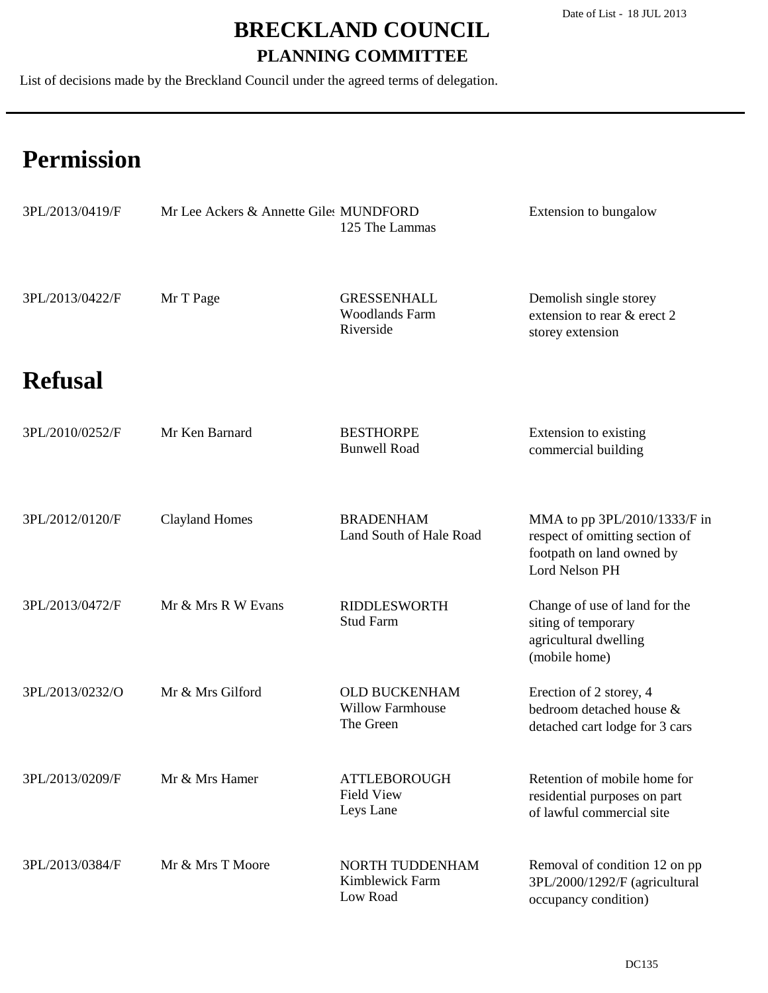List of decisions made by the Breckland Council under the agreed terms of delegation.

| 3PL/2013/0419/F | Mr Lee Ackers & Annette Giles MUNDFORD | 125 The Lammas                                               | Extension to bungalow                                                                                         |
|-----------------|----------------------------------------|--------------------------------------------------------------|---------------------------------------------------------------------------------------------------------------|
| 3PL/2013/0422/F | Mr T Page                              | <b>GRESSENHALL</b><br><b>Woodlands Farm</b><br>Riverside     | Demolish single storey<br>extension to rear & erect 2<br>storey extension                                     |
| <b>Refusal</b>  |                                        |                                                              |                                                                                                               |
| 3PL/2010/0252/F | Mr Ken Barnard                         | <b>BESTHORPE</b><br><b>Bunwell Road</b>                      | Extension to existing<br>commercial building                                                                  |
| 3PL/2012/0120/F | <b>Clayland Homes</b>                  | <b>BRADENHAM</b><br>Land South of Hale Road                  | MMA to pp 3PL/2010/1333/F in<br>respect of omitting section of<br>footpath on land owned by<br>Lord Nelson PH |
| 3PL/2013/0472/F | Mr & Mrs R W Evans                     | <b>RIDDLESWORTH</b><br><b>Stud Farm</b>                      | Change of use of land for the<br>siting of temporary<br>agricultural dwelling<br>(mobile home)                |
| 3PL/2013/0232/O | Mr & Mrs Gilford                       | <b>OLD BUCKENHAM</b><br><b>Willow Farmhouse</b><br>The Green | Erection of 2 storey, 4<br>bedroom detached house &<br>detached cart lodge for 3 cars                         |
| 3PL/2013/0209/F | Mr & Mrs Hamer                         | <b>ATTLEBOROUGH</b><br><b>Field View</b><br>Leys Lane        | Retention of mobile home for<br>residential purposes on part<br>of lawful commercial site                     |
| 3PL/2013/0384/F | Mr & Mrs T Moore                       | NORTH TUDDENHAM<br>Kimblewick Farm<br>Low Road               | Removal of condition 12 on pp<br>3PL/2000/1292/F (agricultural<br>occupancy condition)                        |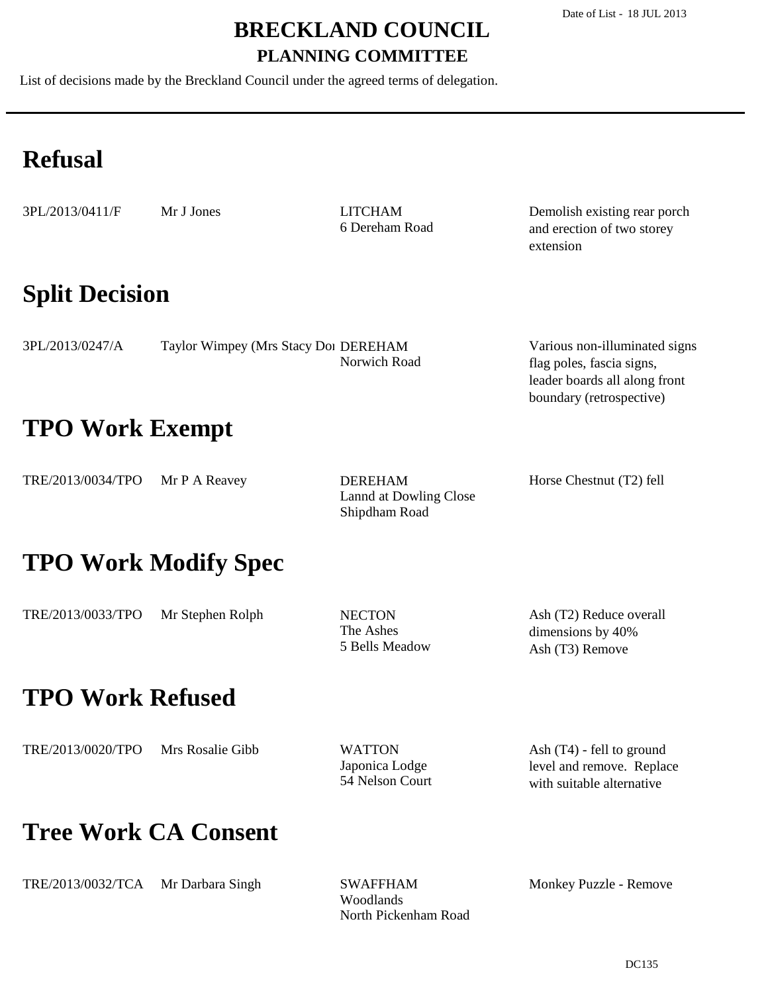List of decisions made by the Breckland Council under the agreed terms of delegation.

## **Refusal**

| 3PL/2013/0411/F | M |
|-----------------|---|
|-----------------|---|

Ir J Jones

6 Dereham Road LITCHAM

Demolish existing rear porch and erection of two storey extension

boundary (retrospective)

### **Split Decision**

| 3PL/2013/0247/A | Taylor Wimpey (Mrs Stacy Doi DEREHAM | Various non-illuminated signs |
|-----------------|--------------------------------------|-------------------------------|
|                 | Norwich Road                         | flag poles, fascia signs,     |
|                 |                                      | leader boards all along front |

### **TPO Work Exempt**

| TRE/2013/0034/TPO $Mr P A Reavey$ | <b>DEREHAM</b>         | Horse Chestnut (T2) fell |
|-----------------------------------|------------------------|--------------------------|
|                                   | Lannd at Dowling Close |                          |
|                                   | Shipdham Road          |                          |

### **TPO Work Modify Spec**

| TRE/2013/0033/TPO | Mr Stephen Rolph | <b>NECTON</b>  | Ash (T2) Reduce overall |
|-------------------|------------------|----------------|-------------------------|
|                   |                  | The Ashes      | dimensions by 40%       |
|                   |                  | 5 Bells Meadow | Ash (T3) Remove         |

### **TPO Work Refused**

Japonica Lodge 54 Nelson Court WATTON

Ash (T4) - fell to ground level and remove. Replace with suitable alternative

### **Tree Work CA Consent**

Woodlands North Pickenham Road SWAFFHAM

Monkey Puzzle - Remove